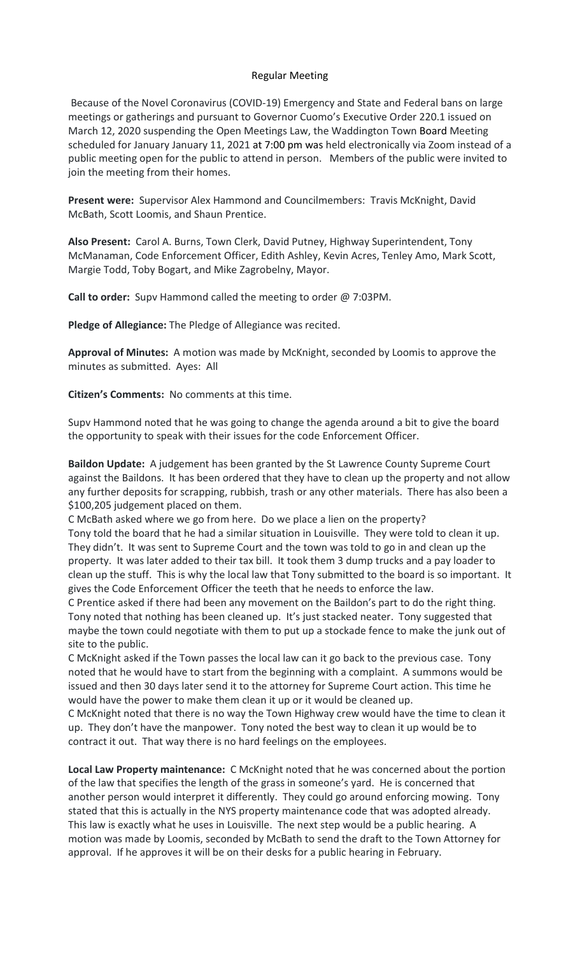## Regular Meeting

Because of the Novel Coronavirus (COVID-19) Emergency and State and Federal bans on large meetings or gatherings and pursuant to Governor Cuomo's Executive Order 220.1 issued on March 12, 2020 suspending the Open Meetings Law, the Waddington Town Board Meeting scheduled for January January 11, 2021 at 7:00 pm was held electronically via Zoom instead of a public meeting open for the public to attend in person. Members of the public were invited to join the meeting from their homes.

**Present were:** Supervisor Alex Hammond and Councilmembers: Travis McKnight, David McBath, Scott Loomis, and Shaun Prentice.

**Also Present:** Carol A. Burns, Town Clerk, David Putney, Highway Superintendent, Tony McManaman, Code Enforcement Officer, Edith Ashley, Kevin Acres, Tenley Amo, Mark Scott, Margie Todd, Toby Bogart, and Mike Zagrobelny, Mayor.

**Call to order:** Supv Hammond called the meeting to order @ 7:03PM.

**Pledge of Allegiance:** The Pledge of Allegiance was recited.

**Approval of Minutes:** A motion was made by McKnight, seconded by Loomis to approve the minutes as submitted. Ayes: All

**Citizen's Comments:** No comments at this time.

Supv Hammond noted that he was going to change the agenda around a bit to give the board the opportunity to speak with their issues for the code Enforcement Officer.

**Baildon Update:** A judgement has been granted by the St Lawrence County Supreme Court against the Baildons. It has been ordered that they have to clean up the property and not allow any further deposits for scrapping, rubbish, trash or any other materials. There has also been a \$100,205 judgement placed on them.

C McBath asked where we go from here. Do we place a lien on the property? Tony told the board that he had a similar situation in Louisville. They were told to clean it up. They didn't. It was sent to Supreme Court and the town was told to go in and clean up the property. It was later added to their tax bill. It took them 3 dump trucks and a pay loader to clean up the stuff. This is why the local law that Tony submitted to the board is so important. It gives the Code Enforcement Officer the teeth that he needs to enforce the law.

C Prentice asked if there had been any movement on the Baildon's part to do the right thing. Tony noted that nothing has been cleaned up. It's just stacked neater. Tony suggested that maybe the town could negotiate with them to put up a stockade fence to make the junk out of site to the public.

C McKnight asked if the Town passes the local law can it go back to the previous case. Tony noted that he would have to start from the beginning with a complaint. A summons would be issued and then 30 days later send it to the attorney for Supreme Court action. This time he would have the power to make them clean it up or it would be cleaned up.

C McKnight noted that there is no way the Town Highway crew would have the time to clean it up. They don't have the manpower. Tony noted the best way to clean it up would be to contract it out. That way there is no hard feelings on the employees.

**Local Law Property maintenance:** C McKnight noted that he was concerned about the portion of the law that specifies the length of the grass in someone's yard. He is concerned that another person would interpret it differently. They could go around enforcing mowing. Tony stated that this is actually in the NYS property maintenance code that was adopted already. This law is exactly what he uses in Louisville. The next step would be a public hearing. A motion was made by Loomis, seconded by McBath to send the draft to the Town Attorney for approval. If he approves it will be on their desks for a public hearing in February.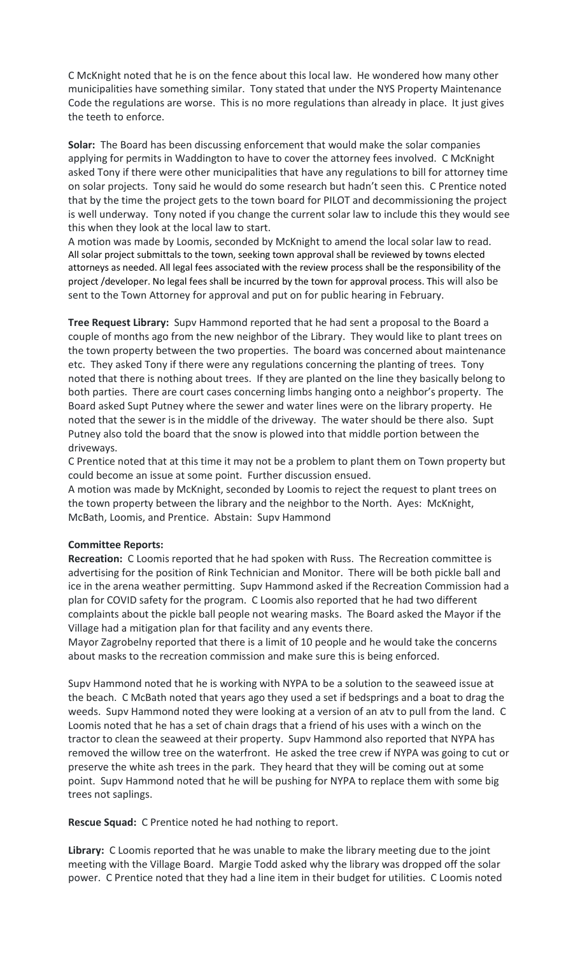C McKnight noted that he is on the fence about this local law. He wondered how many other municipalities have something similar. Tony stated that under the NYS Property Maintenance Code the regulations are worse. This is no more regulations than already in place. It just gives the teeth to enforce.

**Solar:** The Board has been discussing enforcement that would make the solar companies applying for permits in Waddington to have to cover the attorney fees involved. C McKnight asked Tony if there were other municipalities that have any regulations to bill for attorney time on solar projects. Tony said he would do some research but hadn't seen this. C Prentice noted that by the time the project gets to the town board for PILOT and decommissioning the project is well underway. Tony noted if you change the current solar law to include this they would see this when they look at the local law to start.

A motion was made by Loomis, seconded by McKnight to amend the local solar law to read. All solar project submittals to the town, seeking town approval shall be reviewed by towns elected attorneys as needed. All legal fees associated with the review process shall be the responsibility of the project /developer. No legal fees shall be incurred by the town for approval process. This will also be sent to the Town Attorney for approval and put on for public hearing in February.

**Tree Request Library:** Supv Hammond reported that he had sent a proposal to the Board a couple of months ago from the new neighbor of the Library. They would like to plant trees on the town property between the two properties. The board was concerned about maintenance etc. They asked Tony if there were any regulations concerning the planting of trees. Tony noted that there is nothing about trees. If they are planted on the line they basically belong to both parties. There are court cases concerning limbs hanging onto a neighbor's property. The Board asked Supt Putney where the sewer and water lines were on the library property. He noted that the sewer is in the middle of the driveway. The water should be there also. Supt Putney also told the board that the snow is plowed into that middle portion between the driveways.

C Prentice noted that at this time it may not be a problem to plant them on Town property but could become an issue at some point. Further discussion ensued.

A motion was made by McKnight, seconded by Loomis to reject the request to plant trees on the town property between the library and the neighbor to the North. Ayes: McKnight, McBath, Loomis, and Prentice. Abstain: Supv Hammond

# **Committee Reports:**

**Recreation:** C Loomis reported that he had spoken with Russ. The Recreation committee is advertising for the position of Rink Technician and Monitor. There will be both pickle ball and ice in the arena weather permitting. Supv Hammond asked if the Recreation Commission had a plan for COVID safety for the program. C Loomis also reported that he had two different complaints about the pickle ball people not wearing masks. The Board asked the Mayor if the Village had a mitigation plan for that facility and any events there.

Mayor Zagrobelny reported that there is a limit of 10 people and he would take the concerns about masks to the recreation commission and make sure this is being enforced.

Supv Hammond noted that he is working with NYPA to be a solution to the seaweed issue at the beach. C McBath noted that years ago they used a set if bedsprings and a boat to drag the weeds. Supv Hammond noted they were looking at a version of an atv to pull from the land. C Loomis noted that he has a set of chain drags that a friend of his uses with a winch on the tractor to clean the seaweed at their property. Supv Hammond also reported that NYPA has removed the willow tree on the waterfront. He asked the tree crew if NYPA was going to cut or preserve the white ash trees in the park. They heard that they will be coming out at some point. Supv Hammond noted that he will be pushing for NYPA to replace them with some big trees not saplings.

**Rescue Squad:** C Prentice noted he had nothing to report.

**Library:** C Loomis reported that he was unable to make the library meeting due to the joint meeting with the Village Board. Margie Todd asked why the library was dropped off the solar power. C Prentice noted that they had a line item in their budget for utilities. C Loomis noted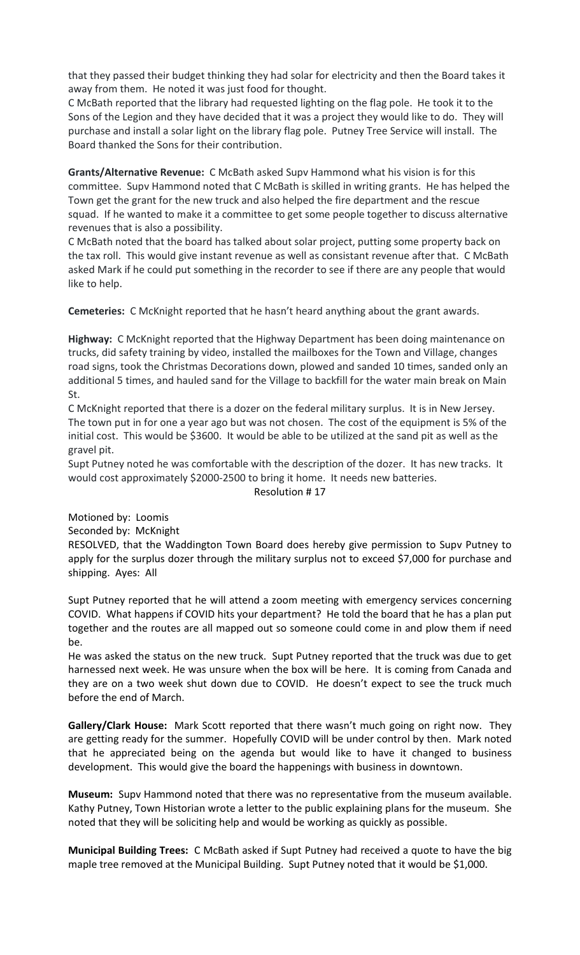that they passed their budget thinking they had solar for electricity and then the Board takes it away from them. He noted it was just food for thought.

C McBath reported that the library had requested lighting on the flag pole. He took it to the Sons of the Legion and they have decided that it was a project they would like to do. They will purchase and install a solar light on the library flag pole. Putney Tree Service will install. The Board thanked the Sons for their contribution.

**Grants/Alternative Revenue:** C McBath asked Supv Hammond what his vision is for this committee. Supv Hammond noted that C McBath is skilled in writing grants. He has helped the Town get the grant for the new truck and also helped the fire department and the rescue squad. If he wanted to make it a committee to get some people together to discuss alternative revenues that is also a possibility.

C McBath noted that the board has talked about solar project, putting some property back on the tax roll. This would give instant revenue as well as consistant revenue after that. C McBath asked Mark if he could put something in the recorder to see if there are any people that would like to help.

**Cemeteries:** C McKnight reported that he hasn't heard anything about the grant awards.

**Highway:** C McKnight reported that the Highway Department has been doing maintenance on trucks, did safety training by video, installed the mailboxes for the Town and Village, changes road signs, took the Christmas Decorations down, plowed and sanded 10 times, sanded only an additional 5 times, and hauled sand for the Village to backfill for the water main break on Main St.

C McKnight reported that there is a dozer on the federal military surplus. It is in New Jersey. The town put in for one a year ago but was not chosen. The cost of the equipment is 5% of the initial cost. This would be \$3600. It would be able to be utilized at the sand pit as well as the gravel pit.

Supt Putney noted he was comfortable with the description of the dozer. It has new tracks. It would cost approximately \$2000-2500 to bring it home. It needs new batteries.

Resolution # 17

Motioned by: Loomis

Seconded by: McKnight

RESOLVED, that the Waddington Town Board does hereby give permission to Supv Putney to apply for the surplus dozer through the military surplus not to exceed \$7,000 for purchase and shipping. Ayes: All

Supt Putney reported that he will attend a zoom meeting with emergency services concerning COVID. What happens if COVID hits your department? He told the board that he has a plan put together and the routes are all mapped out so someone could come in and plow them if need be.

He was asked the status on the new truck. Supt Putney reported that the truck was due to get harnessed next week. He was unsure when the box will be here. It is coming from Canada and they are on a two week shut down due to COVID. He doesn't expect to see the truck much before the end of March.

**Gallery/Clark House:** Mark Scott reported that there wasn't much going on right now. They are getting ready for the summer. Hopefully COVID will be under control by then. Mark noted that he appreciated being on the agenda but would like to have it changed to business development. This would give the board the happenings with business in downtown.

**Museum:** Supv Hammond noted that there was no representative from the museum available. Kathy Putney, Town Historian wrote a letter to the public explaining plans for the museum. She noted that they will be soliciting help and would be working as quickly as possible.

**Municipal Building Trees:** C McBath asked if Supt Putney had received a quote to have the big maple tree removed at the Municipal Building. Supt Putney noted that it would be \$1,000.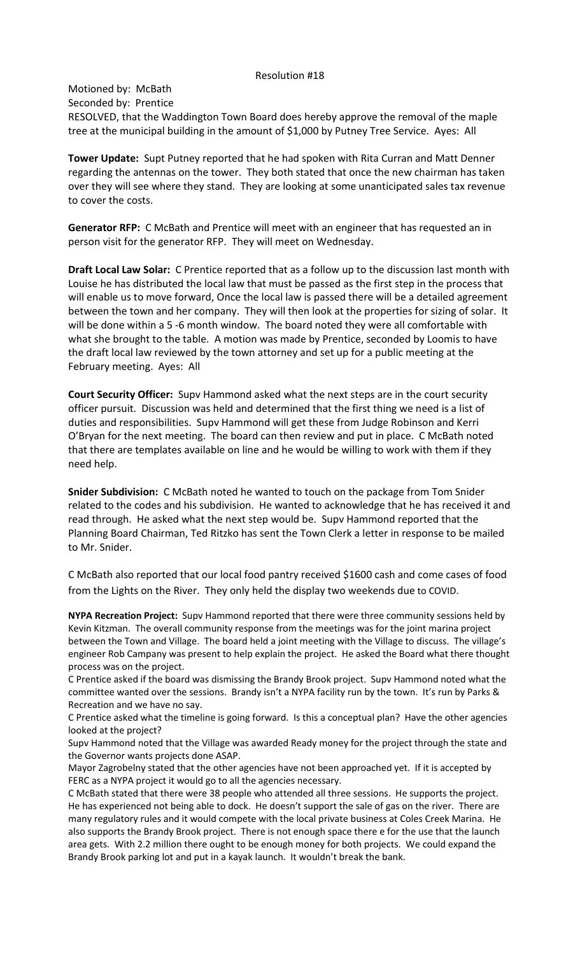### Resolution #18

Motioned by: McBath Seconded by: Prentice RESOLVED, that the Waddington Town Board does hereby approve the removal of the maple tree at the municipal building in the amount of \$1,000 by Putney Tree Service. Ayes: All

**Tower Update:** Supt Putney reported that he had spoken with Rita Curran and Matt Denner regarding the antennas on the tower. They both stated that once the new chairman has taken over they will see where they stand. They are looking at some unanticipated sales tax revenue to cover the costs.

**Generator RFP:** C McBath and Prentice will meet with an engineer that has requested an in person visit for the generator RFP. They will meet on Wednesday.

**Draft Local Law Solar:** C Prentice reported that as a follow up to the discussion last month with Louise he has distributed the local law that must be passed as the first step in the process that will enable us to move forward, Once the local law is passed there will be a detailed agreement between the town and her company. They will then look at the properties for sizing of solar. It will be done within a 5 -6 month window. The board noted they were all comfortable with what she brought to the table. A motion was made by Prentice, seconded by Loomis to have the draft local law reviewed by the town attorney and set up for a public meeting at the February meeting. Ayes: All

**Court Security Officer:** Supv Hammond asked what the next steps are in the court security officer pursuit. Discussion was held and determined that the first thing we need is a list of duties and responsibilities. Supv Hammond will get these from Judge Robinson and Kerri O'Bryan for the next meeting. The board can then review and put in place. C McBath noted that there are templates available on line and he would be willing to work with them if they need help.

**Snider Subdivision:** C McBath noted he wanted to touch on the package from Tom Snider related to the codes and his subdivision. He wanted to acknowledge that he has received it and read through. He asked what the next step would be. Supv Hammond reported that the Planning Board Chairman, Ted Ritzko has sent the Town Clerk a letter in response to be mailed to Mr. Snider.

C McBath also reported that our local food pantry received \$1600 cash and come cases of food from the Lights on the River. They only held the display two weekends due to COVID.

**NYPA Recreation Project:** Supv Hammond reported that there were three community sessions held by Kevin Kitzman. The overall community response from the meetings was for the joint marina project between the Town and Village. The board held a joint meeting with the Village to discuss. The village's engineer Rob Campany was present to help explain the project. He asked the Board what there thought process was on the project.

C Prentice asked if the board was dismissing the Brandy Brook project. Supv Hammond noted what the committee wanted over the sessions. Brandy isn't a NYPA facility run by the town. It's run by Parks & Recreation and we have no say.

C Prentice asked what the timeline is going forward. Is this a conceptual plan? Have the other agencies looked at the project?

Supv Hammond noted that the Village was awarded Ready money for the project through the state and the Governor wants projects done ASAP.

Mayor Zagrobelny stated that the other agencies have not been approached yet. If it is accepted by FERC as a NYPA project it would go to all the agencies necessary.

C McBath stated that there were 38 people who attended all three sessions. He supports the project. He has experienced not being able to dock. He doesn't support the sale of gas on the river. There are many regulatory rules and it would compete with the local private business at Coles Creek Marina. He also supports the Brandy Brook project. There is not enough space there e for the use that the launch area gets. With 2.2 million there ought to be enough money for both projects. We could expand the Brandy Brook parking lot and put in a kayak launch. It wouldn't break the bank.